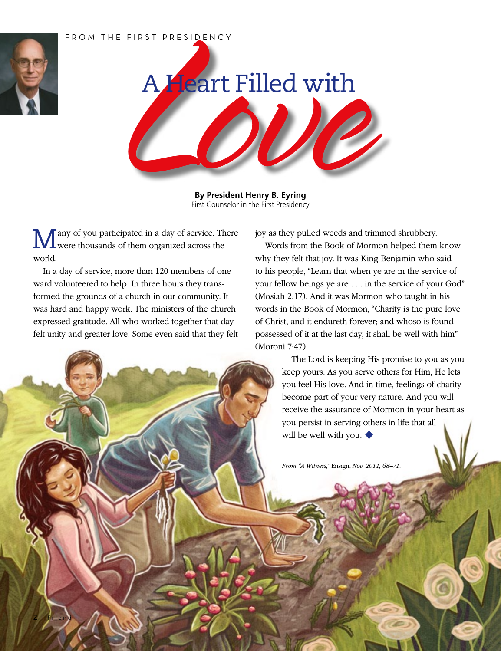## FROM THE FIRST PRESIDENCY



**2** Friend



**By President Henry B. Eyring** First Counselor in the First Presidency

Many of you participated in a day of service. There were thousands of them organized across the world.

In a day of service, more than 120 members of one ward volunteered to help. In three hours they transformed the grounds of a church in our community. It was hard and happy work. The ministers of the church expressed gratitude. All who worked together that day felt unity and greater love. Some even said that they felt joy as they pulled weeds and trimmed shrubbery.

Words from the Book of Mormon helped them know why they felt that joy. It was King Benjamin who said to his people, "Learn that when ye are in the service of your fellow beings ye are . . . in the service of your God" (Mosiah 2:17). And it was Mormon who taught in his words in the Book of Mormon, "Charity is the pure love of Christ, and it endureth forever; and whoso is found possessed of it at the last day, it shall be well with him" (Moroni 7:47).

> The Lord is keeping His promise to you as you keep yours. As you serve others for Him, He lets you feel His love. And in time, feelings of charity become part of your very nature. And you will receive the assurance of Mormon in your heart as you persist in serving others in life that all will be well with you. ◆

*From "A Witness,"* Ensign, *Nov. 2011, 68–71.*